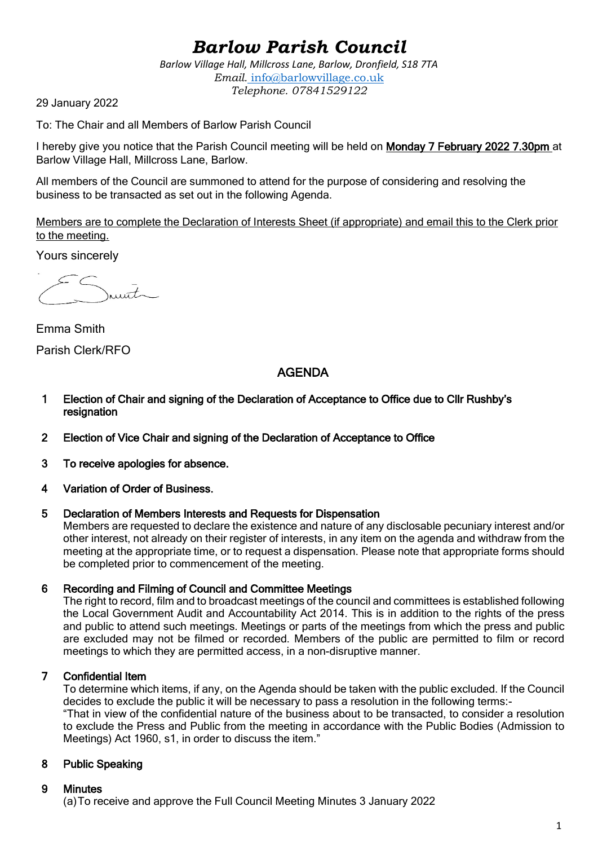# *Barlow Parish Council*

*Barlow Village Hall, Millcross Lane, Barlow, Dronfield, S18 7TA Email.* info@barlowvillage.co.uk *Telephone. 07841529122*

29 January 2022

To: The Chair and all Members of Barlow Parish Council

I hereby give you notice that the Parish Council meeting will be held on Monday 7 February 2022 7.30pm at Barlow Village Hall, Millcross Lane, Barlow.

All members of the Council are summoned to attend for the purpose of considering and resolving the business to be transacted as set out in the following Agenda.

Members are to complete the Declaration of Interests Sheet (if appropriate) and email this to the Clerk prior to the meeting.

Yours sincerely

 $m\tau$ 

Emma Smith Parish Clerk/RFO

## AGENDA

- 1 Election of Chair and signing of the Declaration of Acceptance to Office due to Cllr Rushby's resignation
- 2 Election of Vice Chair and signing of the Declaration of Acceptance to Office
- 3 To receive apologies for absence.
- 4 Variation of Order of Business.

#### 5 Declaration of Members Interests and Requests for Dispensation

Members are requested to declare the existence and nature of any disclosable pecuniary interest and/or other interest, not already on their register of interests, in any item on the agenda and withdraw from the meeting at the appropriate time, or to request a dispensation. Please note that appropriate forms should be completed prior to commencement of the meeting.

#### 6 Recording and Filming of Council and Committee Meetings

The right to record, film and to broadcast meetings of the council and committees is established following the Local Government Audit and Accountability Act 2014. This is in addition to the rights of the press and public to attend such meetings. Meetings or parts of the meetings from which the press and public are excluded may not be filmed or recorded. Members of the public are permitted to film or record meetings to which they are permitted access, in a non-disruptive manner.

## 7 Confidential Item

To determine which items, if any, on the Agenda should be taken with the public excluded. If the Council decides to exclude the public it will be necessary to pass a resolution in the following terms:-

"That in view of the confidential nature of the business about to be transacted, to consider a resolution to exclude the Press and Public from the meeting in accordance with the Public Bodies (Admission to Meetings) Act 1960, s1, in order to discuss the item."

## 8 Public Speaking

#### 9 Minutes

(a)To receive and approve the Full Council Meeting Minutes 3 January 2022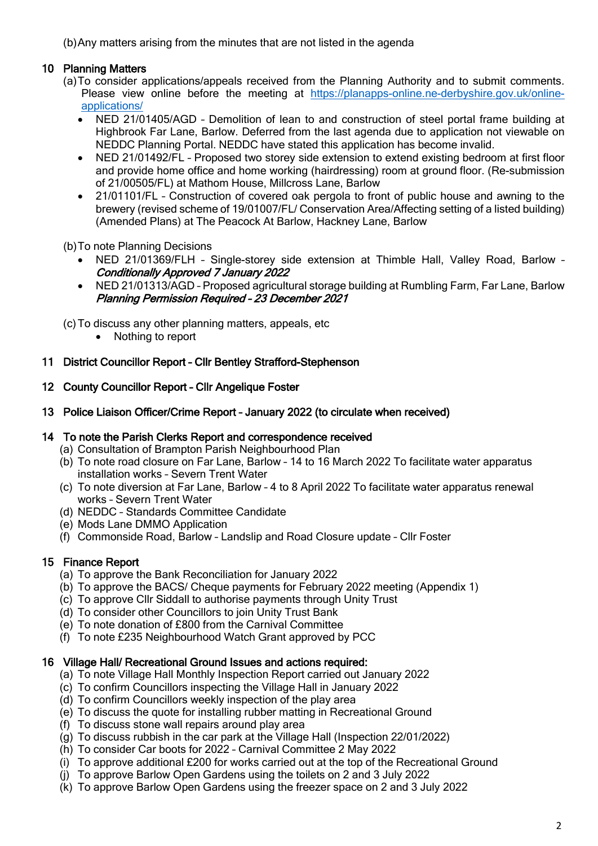(b)Any matters arising from the minutes that are not listed in the agenda

## 10 Planning Matters

- (a)To consider applications/appeals received from the Planning Authority and to submit comments. Please view online before the meeting at [https://planapps-online.ne-derbyshire.gov.uk/online](https://planapps-online.ne-derbyshire.gov.uk/online-applications/)[applications/](https://planapps-online.ne-derbyshire.gov.uk/online-applications/)
	- NED 21/01405/AGD Demolition of lean to and construction of steel portal frame building at Highbrook Far Lane, Barlow. Deferred from the last agenda due to application not viewable on NEDDC Planning Portal. NEDDC have stated this application has become invalid.
	- NED 21/01492/FL Proposed two storey side extension to extend existing bedroom at first floor and provide home office and home working (hairdressing) room at ground floor. (Re-submission of 21/00505/FL) at Mathom House, Millcross Lane, Barlow
	- 21/01101/FL Construction of covered oak pergola to front of public house and awning to the brewery (revised scheme of 19/01007/FL/ Conservation Area/Affecting setting of a listed building) (Amended Plans) at The Peacock At Barlow, Hackney Lane, Barlow

(b)To note Planning Decisions

- NED 21/01369/FLH Single-storey side extension at Thimble Hall, Valley Road, Barlow Conditionally Approved 7 January 2022
- NED 21/01313/AGD Proposed agricultural storage building at Rumbling Farm, Far Lane, Barlow Planning Permission Required – 23 December 2021

(c)To discuss any other planning matters, appeals, etc

• Nothing to report

#### 11 District Councillor Report – Cllr Bentley Strafford-Stephenson

- 12 County Councillor Report Cllr Angelique Foster
- 13 Police Liaison Officer/Crime Report January 2022 (to circulate when received)

#### 14 To note the Parish Clerks Report and correspondence received

- (a) Consultation of Brampton Parish Neighbourhood Plan
- (b) To note road closure on Far Lane, Barlow 14 to 16 March 2022 To facilitate water apparatus installation works – Severn Trent Water
- (c) To note diversion at Far Lane, Barlow 4 to 8 April 2022 To facilitate water apparatus renewal works – Severn Trent Water
- (d) NEDDC Standards Committee Candidate
- (e) Mods Lane DMMO Application
- (f) Commonside Road, Barlow Landslip and Road Closure update Cllr Foster

## 15 Finance Report

- (a) To approve the Bank Reconciliation for January 2022
- (b) To approve the BACS/ Cheque payments for February 2022 meeting (Appendix 1)
- (c) To approve Cllr Siddall to authorise payments through Unity Trust
- (d) To consider other Councillors to join Unity Trust Bank
- (e) To note donation of £800 from the Carnival Committee
- (f) To note £235 Neighbourhood Watch Grant approved by PCC

#### 16 Village Hall/ Recreational Ground Issues and actions required:

- (a) To note Village Hall Monthly Inspection Report carried out January 2022
- (c) To confirm Councillors inspecting the Village Hall in January 2022
- (d) To confirm Councillors weekly inspection of the play area
- (e) To discuss the quote for installing rubber matting in Recreational Ground
- (f) To discuss stone wall repairs around play area
- (g) To discuss rubbish in the car park at the Village Hall (Inspection 22/01/2022)
- (h) To consider Car boots for 2022 Carnival Committee 2 May 2022
- (i) To approve additional £200 for works carried out at the top of the Recreational Ground
- (j) To approve Barlow Open Gardens using the toilets on 2 and 3 July 2022
- (k) To approve Barlow Open Gardens using the freezer space on 2 and 3 July 2022